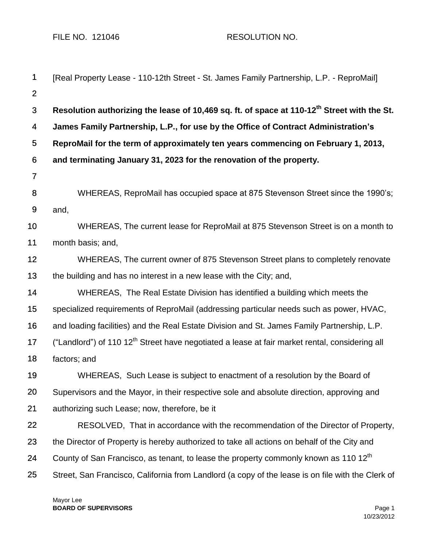FILE NO. 121046 RESOLUTION NO.

| $\mathbf 1$    | [Real Property Lease - 110-12th Street - St. James Family Partnership, L.P. - ReproMail]                   |
|----------------|------------------------------------------------------------------------------------------------------------|
| $\overline{2}$ |                                                                                                            |
| 3              | Resolution authorizing the lease of 10,469 sq. ft. of space at 110-12 <sup>th</sup> Street with the St.    |
| 4              | James Family Partnership, L.P., for use by the Office of Contract Administration's                         |
| 5              | ReproMail for the term of approximately ten years commencing on February 1, 2013,                          |
| 6              | and terminating January 31, 2023 for the renovation of the property.                                       |
| $\overline{7}$ |                                                                                                            |
| 8              | WHEREAS, ReproMail has occupied space at 875 Stevenson Street since the 1990's;                            |
| 9              | and,                                                                                                       |
| 10             | WHEREAS, The current lease for ReproMail at 875 Stevenson Street is on a month to                          |
| 11             | month basis; and,                                                                                          |
| 12             | WHEREAS, The current owner of 875 Stevenson Street plans to completely renovate                            |
| 13             | the building and has no interest in a new lease with the City; and,                                        |
| 14             | WHEREAS, The Real Estate Division has identified a building which meets the                                |
| 15             | specialized requirements of ReproMail (addressing particular needs such as power, HVAC,                    |
| 16             | and loading facilities) and the Real Estate Division and St. James Family Partnership, L.P.                |
| 17             | ("Landlord") of 110 12 <sup>th</sup> Street have negotiated a lease at fair market rental, considering all |
| 18             | factors; and                                                                                               |
| 19             | WHEREAS, Such Lease is subject to enactment of a resolution by the Board of                                |
| 20             | Supervisors and the Mayor, in their respective sole and absolute direction, approving and                  |
| 21             | authorizing such Lease; now, therefore, be it                                                              |
| 22             | RESOLVED, That in accordance with the recommendation of the Director of Property,                          |
| 23             | the Director of Property is hereby authorized to take all actions on behalf of the City and                |
| 24             | County of San Francisco, as tenant, to lease the property commonly known as 110 12 <sup>th</sup>           |
| 25             | Street, San Francisco, California from Landlord (a copy of the lease is on file with the Clerk of          |
|                |                                                                                                            |

Mayor Lee **BOARD OF SUPERVISORS** Page 1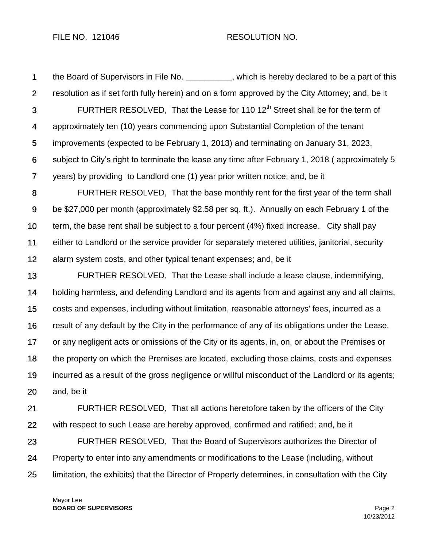## FILE NO. 121046 RESOLUTION NO.

1 2 3 4 5 6 7 8 9 10 11 12 13 the Board of Supervisors in File No. \_\_\_\_\_\_\_\_\_, which is hereby declared to be a part of this resolution as if set forth fully herein) and on a form approved by the City Attorney; and, be it FURTHER RESOLVED, That the Lease for 110  $12<sup>th</sup>$  Street shall be for the term of approximately ten (10) years commencing upon Substantial Completion of the tenant improvements (expected to be February 1, 2013) and terminating on January 31, 2023, subject to City's right to terminate the lease any time after February 1, 2018 ( approximately 5 years) by providing to Landlord one (1) year prior written notice; and, be it FURTHER RESOLVED, That the base monthly rent for the first year of the term shall be \$27,000 per month (approximately \$2.58 per sq. ft.). Annually on each February 1 of the term, the base rent shall be subject to a four percent (4%) fixed increase. City shall pay either to Landlord or the service provider for separately metered utilities, janitorial, security alarm system costs, and other typical tenant expenses; and, be it FURTHER RESOLVED, That the Lease shall include a lease clause, indemnifying,

14 15 16 17 18 19 20 holding harmless, and defending Landlord and its agents from and against any and all claims, costs and expenses, including without limitation, reasonable attorneys' fees, incurred as a result of any default by the City in the performance of any of its obligations under the Lease, or any negligent acts or omissions of the City or its agents, in, on, or about the Premises or the property on which the Premises are located, excluding those claims, costs and expenses incurred as a result of the gross negligence or willful misconduct of the Landlord or its agents; and, be it

21 22 23 24 FURTHER RESOLVED, That all actions heretofore taken by the officers of the City with respect to such Lease are hereby approved, confirmed and ratified; and, be it FURTHER RESOLVED, That the Board of Supervisors authorizes the Director of Property to enter into any amendments or modifications to the Lease (including, without

25 limitation, the exhibits) that the Director of Property determines, in consultation with the City

Mayor Lee **BOARD OF SUPERVISORS** Page 2